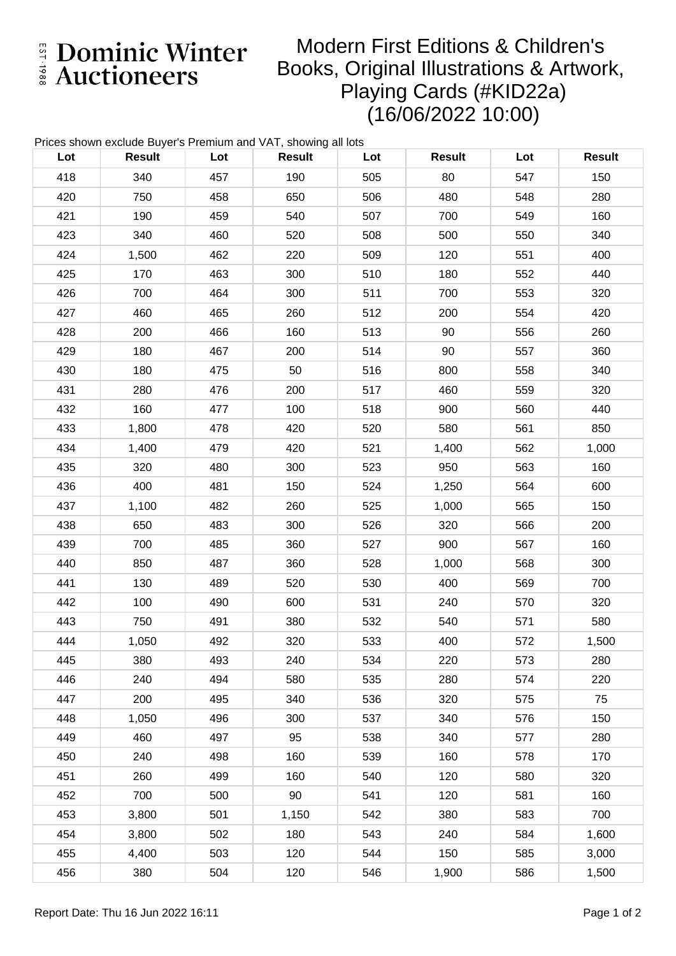E Dominic Winter

## Modern First Editions & Children's Books, Original Illustrations & Artwork, Playing Cards (#KID22a) (16/06/2022 10:00)

|     | Prices shown exclude Buyer's Premium and VAT, showing all lots |     |               |     |               |     |               |
|-----|----------------------------------------------------------------|-----|---------------|-----|---------------|-----|---------------|
| Lot | <b>Result</b>                                                  | Lot | <b>Result</b> | Lot | <b>Result</b> | Lot | <b>Result</b> |
| 418 | 340                                                            | 457 | 190           | 505 | 80            | 547 | 150           |
| 420 | 750                                                            | 458 | 650           | 506 | 480           | 548 | 280           |
| 421 | 190                                                            | 459 | 540           | 507 | 700           | 549 | 160           |
| 423 | 340                                                            | 460 | 520           | 508 | 500           | 550 | 340           |
| 424 | 1,500                                                          | 462 | 220           | 509 | 120           | 551 | 400           |
| 425 | 170                                                            | 463 | 300           | 510 | 180           | 552 | 440           |
| 426 | 700                                                            | 464 | 300           | 511 | 700           | 553 | 320           |
| 427 | 460                                                            | 465 | 260           | 512 | 200           | 554 | 420           |
| 428 | 200                                                            | 466 | 160           | 513 | 90            | 556 | 260           |
| 429 | 180                                                            | 467 | 200           | 514 | 90            | 557 | 360           |
| 430 | 180                                                            | 475 | 50            | 516 | 800           | 558 | 340           |
| 431 | 280                                                            | 476 | 200           | 517 | 460           | 559 | 320           |
| 432 | 160                                                            | 477 | 100           | 518 | 900           | 560 | 440           |
| 433 | 1,800                                                          | 478 | 420           | 520 | 580           | 561 | 850           |
| 434 | 1,400                                                          | 479 | 420           | 521 | 1,400         | 562 | 1,000         |
| 435 | 320                                                            | 480 | 300           | 523 | 950           | 563 | 160           |
| 436 | 400                                                            | 481 | 150           | 524 | 1,250         | 564 | 600           |
| 437 | 1,100                                                          | 482 | 260           | 525 | 1,000         | 565 | 150           |
| 438 | 650                                                            | 483 | 300           | 526 | 320           | 566 | 200           |
| 439 | 700                                                            | 485 | 360           | 527 | 900           | 567 | 160           |
| 440 | 850                                                            | 487 | 360           | 528 | 1,000         | 568 | 300           |
| 441 | 130                                                            | 489 | 520           | 530 | 400           | 569 | 700           |
| 442 | 100                                                            | 490 | 600           | 531 | 240           | 570 | 320           |
| 443 | 750                                                            | 491 | 380           | 532 | 540           | 571 | 580           |
| 444 | 1,050                                                          | 492 | 320           | 533 | 400           | 572 | 1,500         |
| 445 | 380                                                            | 493 | 240           | 534 | 220           | 573 | 280           |
| 446 | 240                                                            | 494 | 580           | 535 | 280           | 574 | 220           |
| 447 | 200                                                            | 495 | 340           | 536 | 320           | 575 | 75            |
| 448 | 1,050                                                          | 496 | 300           | 537 | 340           | 576 | 150           |
| 449 | 460                                                            | 497 | 95            | 538 | 340           | 577 | 280           |
| 450 | 240                                                            | 498 | 160           | 539 | 160           | 578 | 170           |
| 451 | 260                                                            | 499 | 160           | 540 | 120           | 580 | 320           |
| 452 | 700                                                            | 500 | 90            | 541 | 120           | 581 | 160           |
| 453 | 3,800                                                          | 501 | 1,150         | 542 | 380           | 583 | 700           |
| 454 | 3,800                                                          | 502 | 180           | 543 | 240           | 584 | 1,600         |
| 455 | 4,400                                                          | 503 | 120           | 544 | 150           | 585 | 3,000         |
| 456 | 380                                                            | 504 | 120           | 546 | 1,900         | 586 | 1,500         |